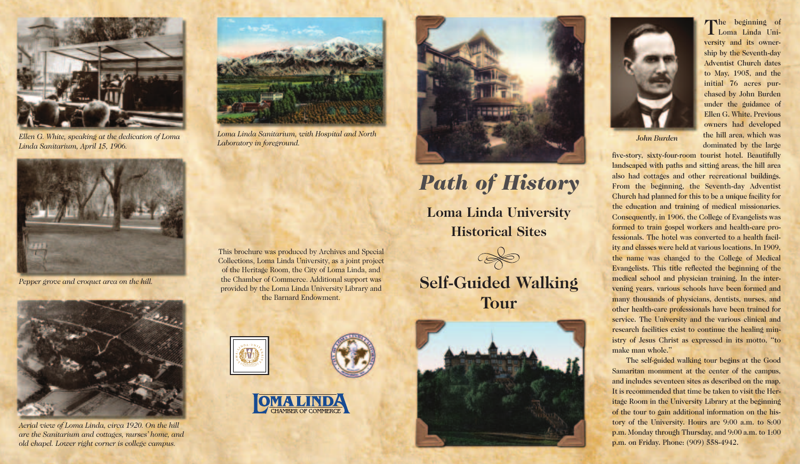

*Ellen G. White, speaking at the dedication of Loma Linda Sanitarium, April 15, 1906.*



*Pepper grove and croquet area on the hill.*



*Aerial view of Loma Linda, circa 1920. On the hill are the Sanitarium and cottages, nurses' home, and old chapel. Lower right corner is college campus.*



*Loma Linda Sanitarium, with Hospital and North Laboratory in foreground.*

This brochure was produced by Archives and Special Collections, Loma Linda University, as a joint project of the Heritage Room, the City of Loma Linda, and the Chamber of Commerce. Additional support was provided by the Loma Linda University Library and the Barnard Endowment.







## *Path of History* **Loma Linda University Historical Sites**

**Self-Guided Walking Tour**





The beginning of Loma Linda University and its ownership by the Seventh-day Adventist Church dates to May, 1905, and the initial 76 acres purchased by John Burden under the guidance of Ellen G. White. Previous owners had developed the hill area, which was dominated by the large

*John Burden*

five-story, sixty-four-room tourist hotel. Beautifully landscaped with paths and sitting areas, the hill area also had cottages and other recreational buildings. From the beginning, the Seventh-day Adventist Church had planned for this to be a unique facility for the education and training of medical missionaries. Consequently, in 1906, the College of Evangelists was formed to train gospel workers and health-care professionals. The hotel was converted to a health facility and classes were held at various locations. In 1909, the name was changed to the College of Medical Evangelists. This title reflected the beginning of the medical school and physician training. In the intervening years, various schools have been formed and many thousands of physicians, dentists, nurses, and other health-care professionals have been trained for service. The University and the various clinical and research facilities exist to continue the healing ministry of Jesus Christ as expressed in its motto, "to make man whole."

The self-guided walking tour begins at the Good Samaritan monument at the center of the campus, and includes seventeen sites as described on the map. It is recommended that time be taken to visit the Heritage Room in the University Library at the beginning of the tour to gain additional information on the history of the University. Hours are 9:00 a.m. to 8:00 p.m. Monday through Thursday, and 9:00 a.m. to 1:00 p.m. on Friday. Phone: (909) 558-4942.